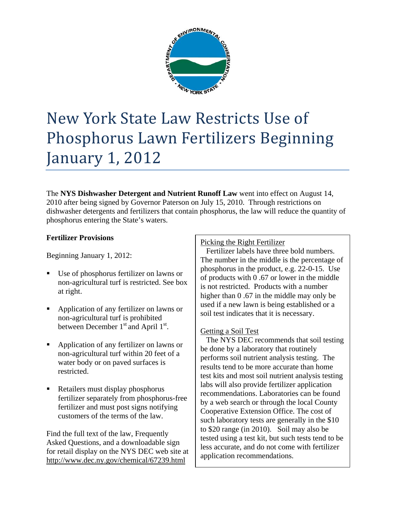

# New York State Law Restricts Use of Phosphorus Lawn Fertilizers Beginning January 1, 2012

The **NYS Dishwasher Detergent and Nutrient Runoff Law** went into effect on August 14, 2010 after being signed by Governor Paterson on July 15, 2010. Through restrictions on dishwasher detergents and fertilizers that contain phosphorus, the law will reduce the quantity of phosphorus entering the State's waters.

## **Fertilizer Provisions**

Beginning January 1, 2012:

- Use of phosphorus fertilizer on lawns or non-agricultural turf is restricted. See box at right.
- Application of any fertilizer on lawns or non-agricultural turf is prohibited between December  $1<sup>st</sup>$  and April  $1<sup>st</sup>$ .
- Application of any fertilizer on lawns or non-agricultural turf within 20 feet of a water body or on paved surfaces is restricted.
- Retailers must display phosphorus fertilizer separately from phosphorus-free fertilizer and must post signs notifying customers of the terms of the law.

Find the full text of the law, Frequently Asked Questions, and a downloadable sign for retail display on the NYS DEC web site at http://www.dec.ny.gov/chemical/67239.html

# Picking the Right Fertilizer

 Fertilizer labels have three bold numbers. The number in the middle is the percentage of phosphorus in the product, e.g. 22-0-15. Use of products with 0 .67 or lower in the middle is not restricted. Products with a number higher than 0.67 in the middle may only be used if a new lawn is being established or a soil test indicates that it is necessary.

## Getting a Soil Test

 The NYS DEC recommends that soil testing be done by a laboratory that routinely performs soil nutrient analysis testing. The results tend to be more accurate than home test kits and most soil nutrient analysis testing labs will also provide fertilizer application recommendations. Laboratories can be found by a web search or through the local County Cooperative Extension Office. The cost of such laboratory tests are generally in the \$10 to \$20 range (in 2010). Soil may also be tested using a test kit, but such tests tend to be less accurate, and do not come with fertilizer application recommendations.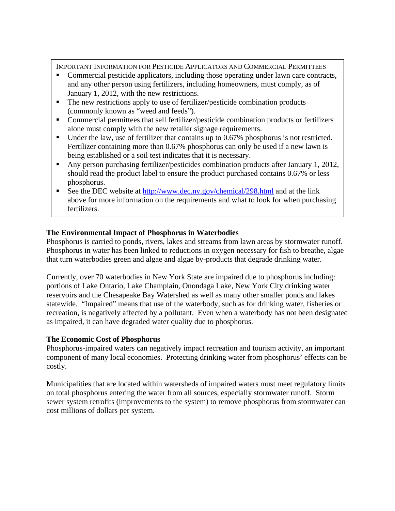IMPORTANT INFORMATION FOR PESTICIDE APPLICATORS AND COMMERCIAL PERMITTEES

- Commercial pesticide applicators, including those operating under lawn care contracts, and any other person using fertilizers, including homeowners, must comply, as of January 1, 2012, with the new restrictions.
- The new restrictions apply to use of fertilizer/pesticide combination products (commonly known as "weed and feeds").
- Commercial permittees that sell fertilizer/pesticide combination products or fertilizers alone must comply with the new retailer signage requirements.
- Under the law, use of fertilizer that contains up to 0.67% phosphorus is not restricted. Fertilizer containing more than 0.67% phosphorus can only be used if a new lawn is being established or a soil test indicates that it is necessary.
- Any person purchasing fertilizer/pesticides combination products after January 1, 2012, should read the product label to ensure the product purchased contains 0.67% or less phosphorus.
- See the DEC website at http://www.dec.ny.gov/chemical/298.html and at the link above for more information on the requirements and what to look for when purchasing fertilizers.

# **The Environmental Impact of Phosphorus in Waterbodies**

Phosphorus is carried to ponds, rivers, lakes and streams from lawn areas by stormwater runoff. Phosphorus in water has been linked to reductions in oxygen necessary for fish to breathe, algae that turn waterbodies green and algae and algae by-products that degrade drinking water.

Currently, over 70 waterbodies in New York State are impaired due to phosphorus including: portions of Lake Ontario, Lake Champlain, Onondaga Lake, New York City drinking water reservoirs and the Chesapeake Bay Watershed as well as many other smaller ponds and lakes statewide. "Impaired" means that use of the waterbody, such as for drinking water, fisheries or recreation, is negatively affected by a pollutant. Even when a waterbody has not been designated as impaired, it can have degraded water quality due to phosphorus.

## **The Economic Cost of Phosphorus**

Phosphorus-impaired waters can negatively impact recreation and tourism activity, an important component of many local economies. Protecting drinking water from phosphorus' effects can be costly.

Municipalities that are located within watersheds of impaired waters must meet regulatory limits on total phosphorus entering the water from all sources, especially stormwater runoff. Storm sewer system retrofits (improvements to the system) to remove phosphorus from stormwater can cost millions of dollars per system.